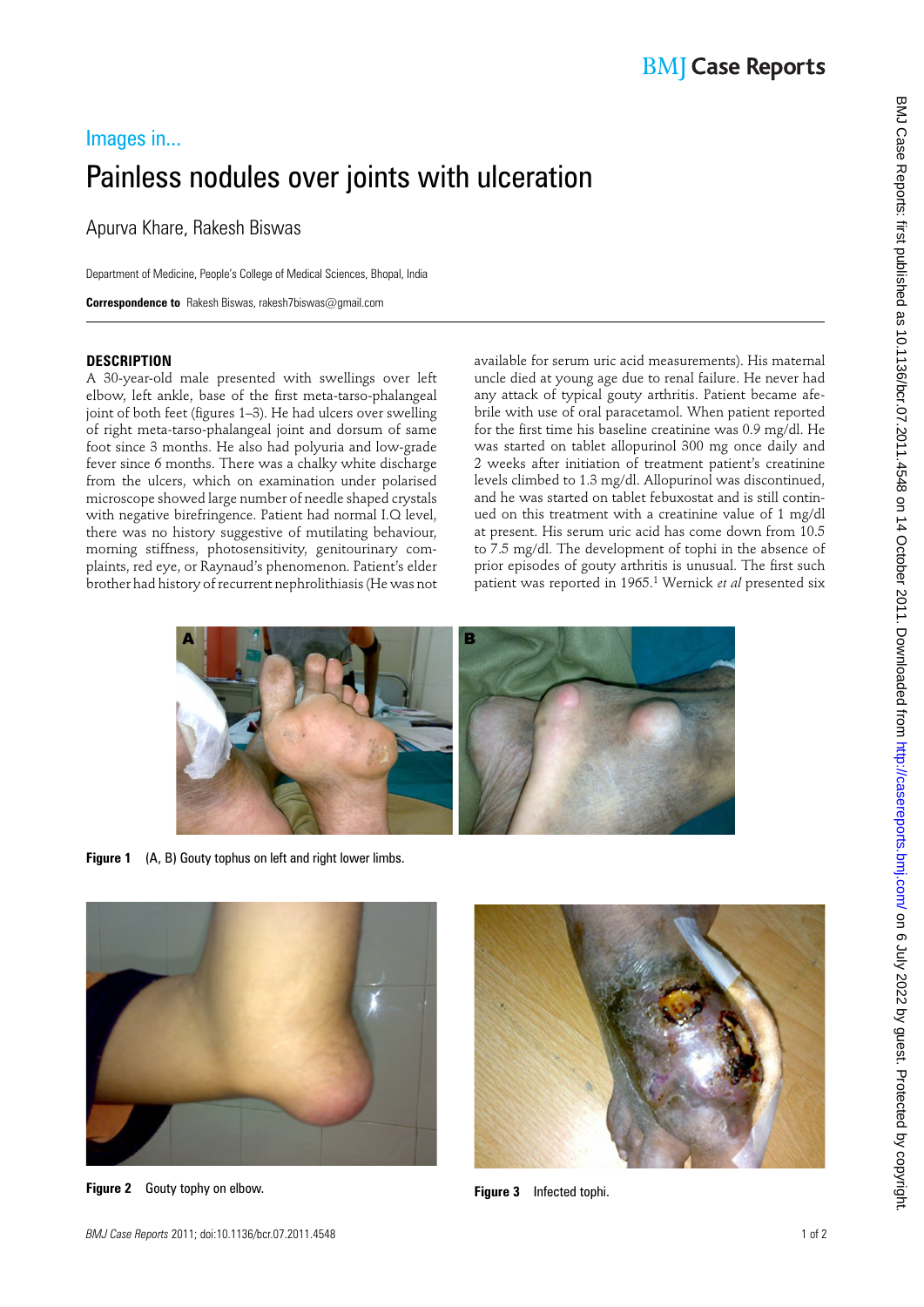# Images in... Painless nodules over joints with ulceration

Apurva Khare, Rakesh Biswas

Department of Medicine, People's College of Medical Sciences, Bhopal, India

 **Correspondence to** Rakesh Biswas, rakesh7biswas@gmail.com

### **DESCRIPTION**

A 30-year-old male presented with swellings over left elbow, left ankle, base of the first meta-tarso-phalangeal joint of both feet (figures 1–3). He had ulcers over swelling of right meta-tarso-phalangeal joint and dorsum of same foot since 3 months. He also had polyuria and low-grade fever since 6 months. There was a chalky white discharge from the ulcers, which on examination under polarised microscope showed large number of needle shaped crystals with negative birefringence. Patient had normal I.Q level, there was no history suggestive of mutilating behaviour, morning stiffness, photosensitivity, genitourinary complaints, red eye, or Raynaud's phenomenon. Patient's elder brother had history of recurrent nephrolithiasis (He was not

available for serum uric acid measurements). His maternal uncle died at young age due to renal failure. He never had any attack of typical gouty arthritis. Patient became afebrile with use of oral paracetamol. When patient reported for the first time his baseline creatinine was 0.9 mg/dl. He was started on tablet allopurinol 300 mg once daily and 2 weeks after initiation of treatment patient's creatinine levels climbed to 1.3 mg/dl. Allopurinol was discontinued, and he was started on tablet febuxostat and is still continued on this treatment with a creatinine value of 1 mg/dl at present. His serum uric acid has come down from 10.5 to 7.5 mg/dl. The development of tophi in the absence of prior episodes of gouty arthritis is unusual. The first such patient was reported in 1965.<sup>1</sup> Wernick et al presented six



**Figure 1** (A, B) Gouty tophus on left and right lower limbs.



**Figure 2** Gouty tophy on elbow. **Figure 3** Infected tophi.